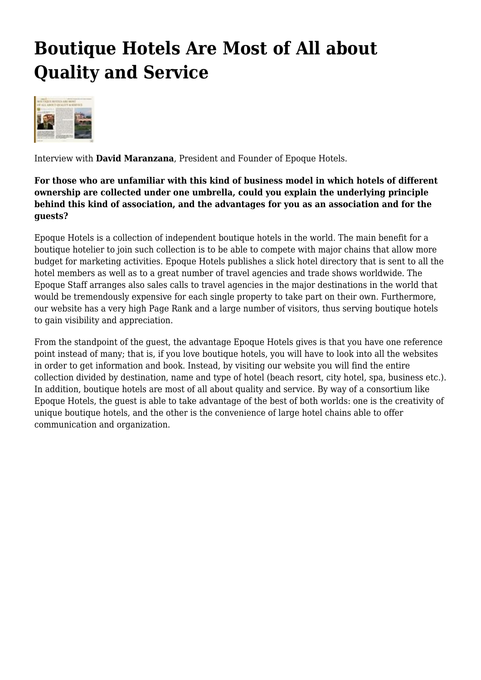## **Boutique Hotels Are Most of All about Quality and Service**



Interview with **David Maranzana**, President and Founder of Epoque Hotels.

## **For those who are unfamiliar with this kind of business model in which hotels of different ownership are collected under one umbrella, could you explain the underlying principle behind this kind of association, and the advantages for you as an association and for the guests?**

Epoque Hotels is a collection of independent boutique hotels in the world. The main benefit for a boutique hotelier to join such collection is to be able to compete with major chains that allow more budget for marketing activities. Epoque Hotels publishes a slick hotel directory that is sent to all the hotel members as well as to a great number of travel agencies and trade shows worldwide. The Epoque Staff arranges also sales calls to travel agencies in the major destinations in the world that would be tremendously expensive for each single property to take part on their own. Furthermore, our website has a very high Page Rank and a large number of visitors, thus serving boutique hotels to gain visibility and appreciation.

From the standpoint of the guest, the advantage Epoque Hotels gives is that you have one reference point instead of many; that is, if you love boutique hotels, you will have to look into all the websites in order to get information and book. Instead, by visiting our website you will find the entire collection divided by destination, name and type of hotel (beach resort, city hotel, spa, business etc.). In addition, boutique hotels are most of all about quality and service. By way of a consortium like Epoque Hotels, the guest is able to take advantage of the best of both worlds: one is the creativity of unique boutique hotels, and the other is the convenience of large hotel chains able to offer communication and organization.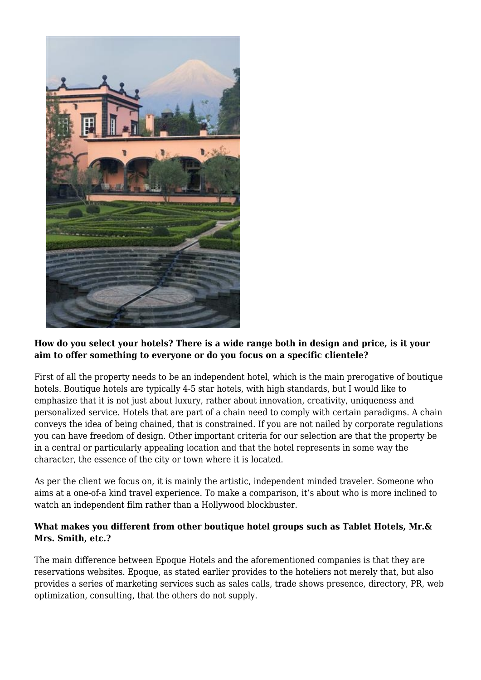

## **How do you select your hotels? There is a wide range both in design and price, is it your aim to offer something to everyone or do you focus on a specific clientele?**

First of all the property needs to be an independent hotel, which is the main prerogative of boutique hotels. Boutique hotels are typically 4-5 star hotels, with high standards, but I would like to emphasize that it is not just about luxury, rather about innovation, creativity, uniqueness and personalized service. Hotels that are part of a chain need to comply with certain paradigms. A chain conveys the idea of being chained, that is constrained. If you are not nailed by corporate regulations you can have freedom of design. Other important criteria for our selection are that the property be in a central or particularly appealing location and that the hotel represents in some way the character, the essence of the city or town where it is located.

As per the client we focus on, it is mainly the artistic, independent minded traveler. Someone who aims at a one-of-a kind travel experience. To make a comparison, it's about who is more inclined to watch an independent film rather than a Hollywood blockbuster.

## **What makes you different from other boutique hotel groups such as Tablet Hotels, Mr.& Mrs. Smith, etc.?**

The main difference between Epoque Hotels and the aforementioned companies is that they are reservations websites. Epoque, as stated earlier provides to the hoteliers not merely that, but also provides a series of marketing services such as sales calls, trade shows presence, directory, PR, web optimization, consulting, that the others do not supply.